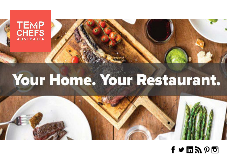

# Your Home. Your Restaurant.



# $f$   $\blacktriangleright$   $m$   $\geqslant$   $\wp$   $m$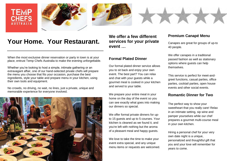





## **Your Home. Your Restaurant.**

When the most exclusive dinner reservation or party in town is at your place, entrust Temp Chefs Australia to make the evening unforgettable.

Whether you're looking to host a simple, intimate gathering or an extravagant affair, one of our hand-selected private chefs will prepare the menu you choose that fits your occasion, purchase the best ingredients, style your table and prepare menu in your kitchen, using their own tools and equipment.

No crowds, no driving, no wait, no lines, just a private, unique and memorable experience for everyone involved.



## **We offer a few different services for your private event …**

### **Formal Plated Dinner**

Our formal plated dinner service allows you to sit back and enjoy your own event. The best part? You can relax and chat with your guests while a gourmet meal is cooked in your kitchen and served to your table.

We prepare your entire meal in your home on the day of the event so you can see exactly what goes into making our dinners so special.

We offer formal private dinners for upto 15 guests and up to 5 courses. Your kitchen is cleaned as we found it, and you're left with nothing but the aroma of a pleasant meal and happy guests.

We love to take the time to make your event extra special, and any unique menu items or requests are welcomed.

## **Premium Canapé Menu**

Canapes are great for groups of up-to 40 people.

We offer canapes in a traditional passed fashion as well as stationary options where guests can help themselves.

This service is perfect for meet-andgreet functions, casual parties, office parties, cocktail parties, open house events and other social events.

## **Romantic Dinner for Two**

The perfect way to show your sweetheart that you really care! Relax in an intimate setting, sip wine and pamper yourselves while our chef prepares a gourmet multi-course meal in your own kitchen.

Hiring a personal chef for your very own date night is a unique. personalized and thoughtful gift that you and your love will remember for years to come.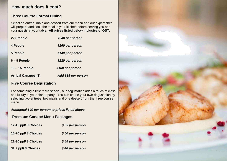## **How much does it cost?**

## **Three Course Formal Dining**

Select an entrée, main and dessert from our menu and our expert chef will prepare and cook the meal in your kitchen before serving you and your guests at your table. **All prices listed below inclusive of GST.**

| 2-3 People                 | \$240 per person    |
|----------------------------|---------------------|
| 4 People                   | \$160 per person    |
| 5 People                   | \$140 per person    |
| $6 - 9$ People             | \$120 per person    |
| $10 - 15$ People           | \$100 per person    |
| <b>Arrival Canapes (3)</b> | Add \$15 per person |

## **Five Course Degustation**

For something a little more special, our degustation adds a touch of class and luxury to your dinner party. You can create your own degustation by selecting two entrees, two mains and one dessert from the three course menu.

#### **Additional \$40 per person to prices listed above**

## **Premium Canapé Menu Packages**

| 12-15 ppl/ 8 Choices | \$55 per person |
|----------------------|-----------------|
| 16-20 ppl/ 8 Choices | \$50 per person |
| 21-30 ppl/ 8 Choices | \$45 per person |
| 31 + ppl/ 8 Choices  | \$40 per person |

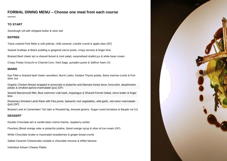## **FORMAL DINING MENU – Choose one meal from each course**

#### **TO START**

**——**

Sourdough roll with whipped butter & olive salt

#### **ENTREE**

Twice cooked Pork Belly w soft polenta, chilli caramel, crackle crumb & apple slaw (GF)

Seared Scallops & Black pudding w gingered carrot puree, crispy serrano & finger lime

Braised Beef cheek tart w shaved fennel & mint salad, caramelised shallot jus & white bean cream

Crispy Potato Gnocchi w Charred Corn, fried Sage, pumpkin puree & Saffron foam (V)

#### **MAINS**

Eye Fillet w braised beef cheek cannelloni, Burnt Leeks, fondant Thyme potato, Bone marrow crumb & Port wine Jus

Organic Chicken Breast wrapped in prosciutto w pistachio and Manuka honey farce, broccolini, dauphinoise potato & smoked apricot marmalade (jus) (GF)

Seared Barramundi fillet, Blue swimmer crab hash, Asparagus & Shaved Fennel Salad, citrus butter & finger lime

Rosemary Smoked Lamb Rack with Pea puree, balsamic root vegetables, wild garlic, red onion marmalade  $(ius)$   $(GF)$ 

Braised Leek & Camembert Tart tatin w Roasted fig, dressed greens, Sugar-cured tomatoes & Bauple nut (V)

#### **DESSERT**

Double Chocolate tart w vanilla bean crème fraiche, raspberry sorbet

Flourless Blood orange cake w pistachio praline, blood orange syrup & olive oil ice-cream (GF)

White Chocolate brulee w macerated strawberries & ginger-bread crumb

Salted Caramel Cheesecake roulade w chocolate mousse & toffee banana

Individual Artisan Cheese Platter

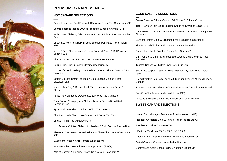

## **PREMIUM CANAPE MENU –**

#### **HOT CANAPÉ SELECTIONS**

**—** Pancetta wrapped Beef Fillet with Béarnaise Sce & Red Onion Jam (GF)

Seared Scallops topped w Crisp Prosciutto & apple Crumble (GF)

Pulled Lamb Slider w, Crisp Gourmet Potato & Minted Peas on Brioche Bun

Crispy Southern Pork Belly Bites w Smoked Paprika & Pickle Ranch (GF)

Mini NY Beef Cheeseburger Slider w Candied Bacon & Dill Pickle on Brioche Bun

Blue Swimmer Crab & Potato Hash w Preserved Lemon

Peking Duck Spring Rolls w Caramelised Plum Sce

Mini Beef Cheek Wellington w Field Mushroom & Thyme Duxelle & Red Wine Jus

Buffalo Chicken Breast Roulade w Blue Cheese Mousse & Red Capsicum Jam

Moreton Bay Bug & Braised Leek Tart topped w Salmon Caviar & Chervil

Pulled Pork Croquette w Apple Sce & Pickled Red Cabbage

Tiger Prawn, Champagne & Saffron Arancini Balls w Roast Red Capsicum Sce

Spicy Squid & Red onion Fritter w Chilli Tomato Relish

Shredded Lamb Shank on a Caramelised Carrot Tart Tatin

Chicken Tikka Pies w Mango Relish

Mini Sesame Chicken Slider w Apple-slaw & Chilli Jam on Brioche Bun

j Skewered Tasmanian Herbed Salmon w Chive Chardonnay Cream Sce (GF)

Sweetcorn Fritter w Chilli Tomato & Rocket (V)

Potato Rosti w Creamed Feta & Pumpkin Jam (GF)(V)

Wild Mushroom & Haloumi Risotto Balls w Red Onion Jam(V)

#### **COLD CANAPE SELECTIONS**

**—** Potato Scone w Salmon Gravlax, Dill Cream & Salmon Caviar

Tiger Prawn Balls in Black Sesame Seeds on Seaweed Salad (GF)

Chinese BBQ'd Duck in Coriander Pancake w Cucumber & Orange Hoi Sin sauce

Beetroot Risotto Cake w Creamed Feta & Balsamic reduction (V)

Thai Poached Chicken & Lime Salad in a noodle basket

Caramelised Leek, Poached Pear & Brie Quiche (V)

Chilli, Ginger & Lime Rare Roast Beef & Crisp Vegetable Rice Paper Roll (GF)

Toasted Brioche w Chicken Liver Pate & Fig Jam

Sushi Rice topped w Sashimi Tuna, Wasabi Mayo & Pickled Radish (GF)

Rolled Smoked Leg Ham, Pickles & Tarragon Crepe w Mustard Cream Cheese

Tandoori Lamb Medallions w Chevre Mousse on Turmeric Naan Bread

Pork San Choi Bow served in Witlof Leaf (GF)

Avocado & Mint Rice Paper Rolls w Crispy Shallots (V) (GF)

#### **SWEET CANAPE SELECTIONS**

**—**

Lemon Curd Meringue Roulade w Toasted Almonds (GF)

Flourless Chocolate Cake w Rum & Raison Ice-cream (GF)

Raspberry & White Chocolate Tart

Blood Orange & Polenta w Vanilla Syrup (GF)

Double Choc & Walnut Brownie w Macerated Strawberries

Salted Caramel Cheesecake w Toffee Banana

Caramelised Apple Spring Roll w Cinnamon Cream Dip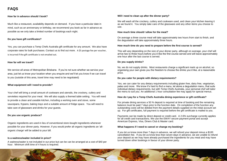## **FAQS**

#### **How far in advance should I book?**

Much like a restaurant, availability depends on demand. If you have a particular date in mind, such as an anniversary or birthday, we recommend you book as far in advance as possible as we only take a limited number of bookings each night.

#### **Do you have gift certificates?**

Yes, you can purchase a Temp Chefs Australia gift certificate for any amount. We also have corporate rates for bulk purchases. Contact us to find out more. A \$5 postage fee per voucher, is incurred if the gift certificate is not emailed out.

#### **How far will we travel?**

We service all areas of Metropolitan Brisbane. If you're not sure whether we service your area, just let us know your location when you enquire and we'll let you know if we can travel to you (outside of this area, travel time may need to be negotiated)

#### **What equipment will I need to provide?**

Your chef will bring a small amount of cookware and utensils, the crockery, cutlery and serviettes required for your meal. We will also supply a themed table setting. You will need to provide a clean and useable kitchen, including a working oven and stove, some saucepans, frypans, baking trays and a suitable amount of fridge space. You will need to take care of glassware and drinks for your guests.

#### **Do you use organic produce?**

Organic ingredients are used in lieu of conventional store-bought ingredients whenever possible for your dinner party. However, if you would prefer all organic ingredients an 'allorganic charge' will be added to your bill.

#### **Is a waitress/waiter included in price?**

A waitress/waiter is not included in our price but can be can be arranged at a cost of \$40 per hour. Minimum shift time of 4 hours is required.

#### **Will I need to clean up after the dinner party?**

We will wash all the crockery, cutlery and cookware used, and clean your kitchen leaving it as we found it. You simply take care of the glassware and any other items you choose to use.

#### **How much time should I allow for the meal?**

On average a three course meal will take approximately two hours from start to finish, and the degustation will take approximately three hours.

#### **How much time do you need to prepare before the first course is served?**

This will vary depending on the size of your dinner party, although on average, your chef will arrive two to three hours before you'd like the first course served and will leave approximately one hour after the last course is served.

#### **Do you supply drinks?**

No, we do not supply drinks. Most restaurants charge a significant mark up on alcohol, so organising your own gives you the freedom to choose the drinks you'd like, at a reasonable price.

#### **Do you cater for people with dietary requirements?**

Yes, we can cater for any dietary requirements including gluten free, dairy free, vegetarian, paleo and more. We know it's hard to find a menu, let alone a degustation menu, that suits individual dietary requirements, but with Temp Chefs Australia, your personal chef will tailor the menu to suit you. An additional 1 hour consultation fee may apply for special menus.

#### **How do I pay for a Temp Chefs Australia dining experience or gift certificate?**

For private dining services a 50 % deposit is required at time of booking and the remaining balance must be paid 7 days prior to the function date. On completion of the function any outstanding costs will be debited from the payment details supplied on the initial account set up. For gift certificates, full payment is required before the gift certificate is mailed to you.

Payments can be made by direct deposit or credit card. A 2.6% surcharge currently applies for all credit card transactions. We use the EWAY secure payment portal and accept American Express, Visa, Diners Club & Master card.

#### **What happens if I need to cancel or change my booking?**

If you let us know more than 7 days in advance, we will refund your deposit minus a \$100 cancellation fee. If you let us know less than seven days in advance, we are unable to refund your deposit as we may have already purchased the ingredients for you meal and may have turned down other bookings in favour of your dinner party.

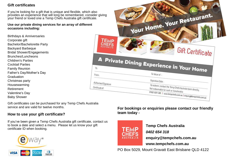## **Gift certificates**

If you're looking for a gift that is unique and flexible, which all provides an experience that will long be remembered, consid your friend or loved one a Temp Chefs Australia gift certification

#### **Use our private dining services for an array of different occasions including:**

Birthdays & Anniversaries Corporate gift Bachelor/Bachelorette Party Backyard Barbeque Bridal Shower/Engagements Brunches/Luncheons Children's Parties Cocktail Parties Family Reunion Father's Day/Mother's Day **Graduation** Christmas party Housewarming Retirement Valentine's Day Baby Shower

Gift certificates can be purchased for any Temp Chefs Australia service and are valid for twelve months.

## **How to use your gift certificate?**

If you've been given a Temp Chefs Australia gift certificate, contact us to book a date and select a menu. Please let us know your gift certificate ID when booking.



| lso<br>der giving<br>ıte. | Your Home. Your Restaurant.                                                    |
|---------------------------|--------------------------------------------------------------------------------|
| <b>TEMP</b><br>CHEFS      | Gift Certificate                                                               |
| To:<br>From:              | A Private Dining Experience in Your Home<br>To Value of :                      |
|                           |                                                                                |
| Authorised Signature      | Expiration Date:<br>To redeem, contact the Temp Chefs Australia team directly. |

**For bookings or enquiries please contact our friendly team today -** 



 **Temp Chefs Australia**

 **0402 654 318**

 **enquiry@tempchefs.com.au** 

 **www.tempchefs.com.au** 

PO Box 5029, Mount Gravatt East Brisbane QLD 4122